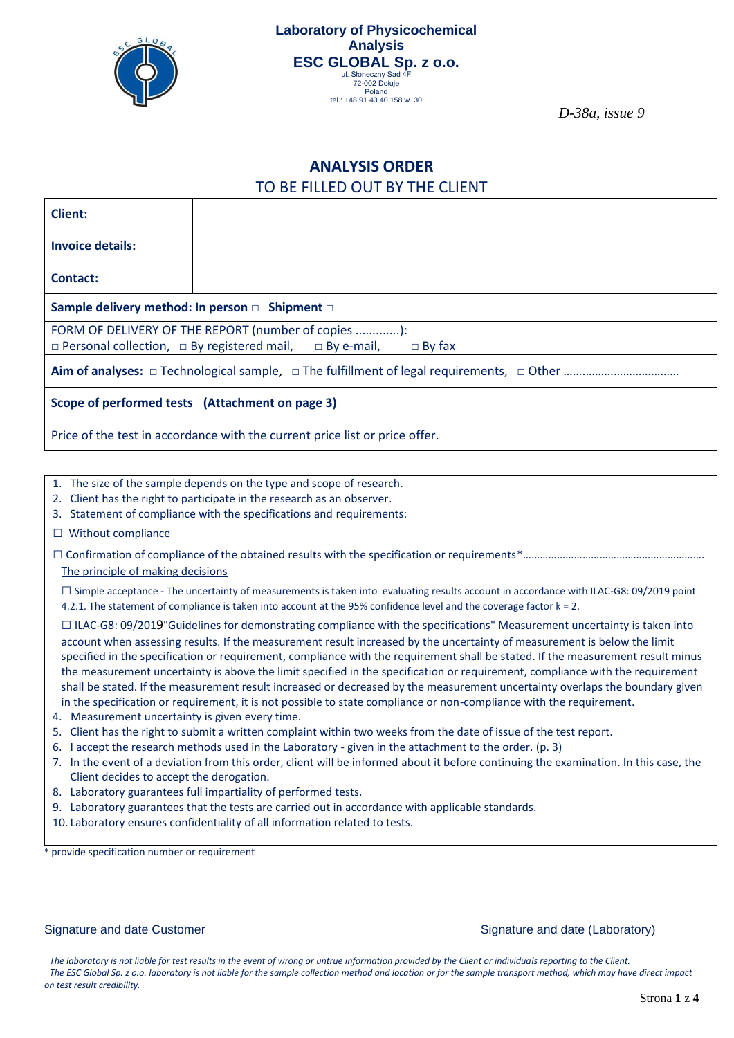

*D-38a, issue 9*

## **ANALYSIS ORDER**  TO BE FILLED OUT BY THE CLIENT

| <b>Client:</b>                                                                            |  |  |  |  |  |
|-------------------------------------------------------------------------------------------|--|--|--|--|--|
| <b>Invoice details:</b>                                                                   |  |  |  |  |  |
| Contact:                                                                                  |  |  |  |  |  |
| Sample delivery method: In person □ Shipment □                                            |  |  |  |  |  |
| FORM OF DELIVERY OF THE REPORT (number of copies ):                                       |  |  |  |  |  |
| $\Box$ Personal collection, $\Box$ By registered mail, $\Box$ By e-mail,<br>$\Box$ By fax |  |  |  |  |  |
|                                                                                           |  |  |  |  |  |
| Scope of performed tests (Attachment on page 3)                                           |  |  |  |  |  |
| Price of the test in accordance with the current price list or price offer.               |  |  |  |  |  |
|                                                                                           |  |  |  |  |  |

- 1. The size of the sample depends on the type and scope of research.
- 2. Client has the right to participate in the research as an observer.
- 3. Statement of compliance with the specifications and requirements:
- □ Without compliance
- □ Confirmation of compliance of the obtained results with the specification or requirements\*……………………………………………………….
- The principle of making decisions

□Simple acceptance - The uncertainty of measurements is taken into evaluating results account in accordance with ILAC-G8: 09/2019 point 4.2.1. The statement of compliance is taken into account at the 95% confidence level and the coverage factor k = 2.

 $\Box$  ILAC-G8: 09/2019"Guidelines for demonstrating compliance with the specifications" Measurement uncertainty is taken into account when assessing results. If the measurement result increased by the uncertainty of measurement is below the limit specified in the specification or requirement, compliance with the requirement shall be stated. If the measurement result minus the measurement uncertainty is above the limit specified in the specification or requirement, compliance with the requirement shall be stated. If the measurement result increased or decreased by the measurement uncertainty overlaps the boundary given in the specification or requirement, it is not possible to state compliance or non-compliance with the requirement.

- 4. Measurement uncertainty is given every time.
- 5. Client has the right to submit a written complaint within two weeks from the date of issue of the test report.
- 6. I accept the research methods used in the Laboratory given in the attachment to the order. (p. 3)
- 7. In the event of a deviation from this order, client will be informed about it before continuing the examination. In this case, the Client decides to accept the derogation.
- 8. Laboratory guarantees full impartiality of performed tests.
- 9. Laboratory guarantees that the tests are carried out in accordance with applicable standards.
- 10. Laboratory ensures confidentiality of all information related to tests.

provide specification number or requirement

#### Signature and date Customer Signature and date (Laboratory) Signature and date (Laboratory)

<sup>1</sup> *The laboratory is not liable for test results in the event of wrong or untrue information provided by the Client or individuals reporting to the Client.* <sup>2</sup> *The ESC Global Sp. z o.o. laboratory is not liable for the sample collection method and location or for the sample transport method, which may have direct impact on test result credibility.*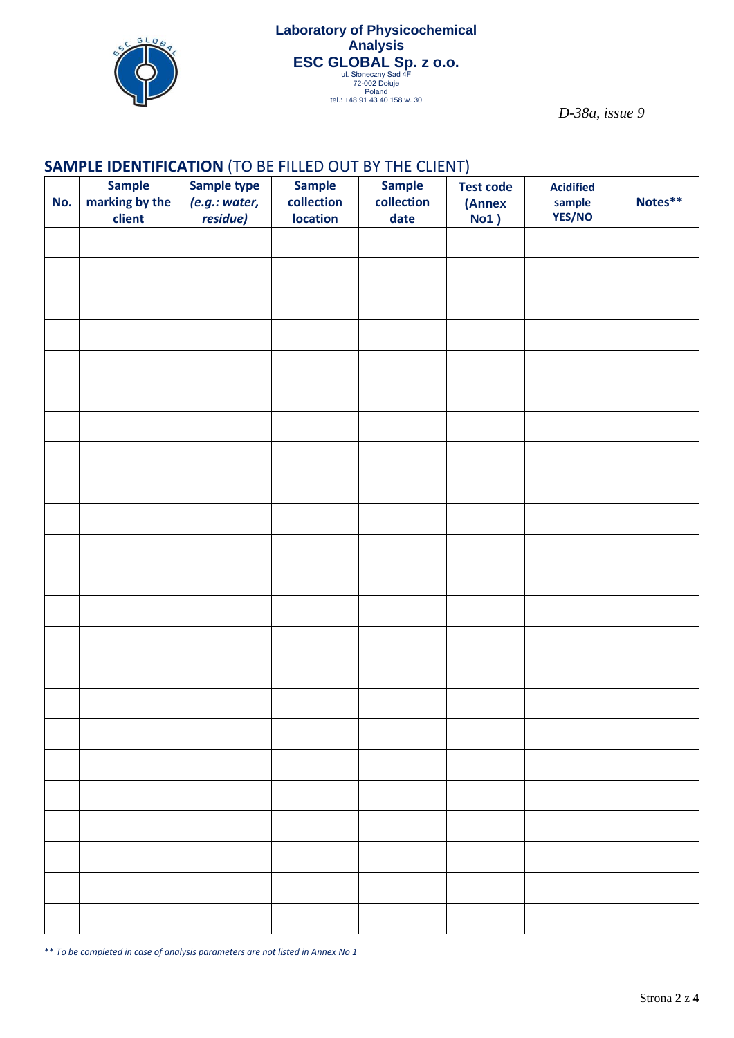

*D-38a, issue 9*

## **SAMPLE IDENTIFICATION** (TO BE FILLED OUT BY THE CLIENT)

| No. | <b>Sample</b><br>marking by the<br>client | Sample type<br>(e.g.: water,<br>residue) | <b>Sample</b><br>collection<br><b>location</b> | <b>Sample</b><br>collection<br>date | <b>Test code</b><br>(Annex<br>No1) | <b>Acidified</b><br>sample<br>YES/NO | Notes** |
|-----|-------------------------------------------|------------------------------------------|------------------------------------------------|-------------------------------------|------------------------------------|--------------------------------------|---------|
|     |                                           |                                          |                                                |                                     |                                    |                                      |         |
|     |                                           |                                          |                                                |                                     |                                    |                                      |         |
|     |                                           |                                          |                                                |                                     |                                    |                                      |         |
|     |                                           |                                          |                                                |                                     |                                    |                                      |         |
|     |                                           |                                          |                                                |                                     |                                    |                                      |         |
|     |                                           |                                          |                                                |                                     |                                    |                                      |         |
|     |                                           |                                          |                                                |                                     |                                    |                                      |         |
|     |                                           |                                          |                                                |                                     |                                    |                                      |         |
|     |                                           |                                          |                                                |                                     |                                    |                                      |         |
|     |                                           |                                          |                                                |                                     |                                    |                                      |         |
|     |                                           |                                          |                                                |                                     |                                    |                                      |         |
|     |                                           |                                          |                                                |                                     |                                    |                                      |         |
|     |                                           |                                          |                                                |                                     |                                    |                                      |         |
|     |                                           |                                          |                                                |                                     |                                    |                                      |         |
|     |                                           |                                          |                                                |                                     |                                    |                                      |         |
|     |                                           |                                          |                                                |                                     |                                    |                                      |         |
|     |                                           |                                          |                                                |                                     |                                    |                                      |         |
|     |                                           |                                          |                                                |                                     |                                    |                                      |         |
|     |                                           |                                          |                                                |                                     |                                    |                                      |         |
|     |                                           |                                          |                                                |                                     |                                    |                                      |         |
|     |                                           |                                          |                                                |                                     |                                    |                                      |         |
|     |                                           |                                          |                                                |                                     |                                    |                                      |         |
|     |                                           |                                          |                                                |                                     |                                    |                                      |         |

\*\* *To be completed in case of analysis parameters are not listed in Annex No 1*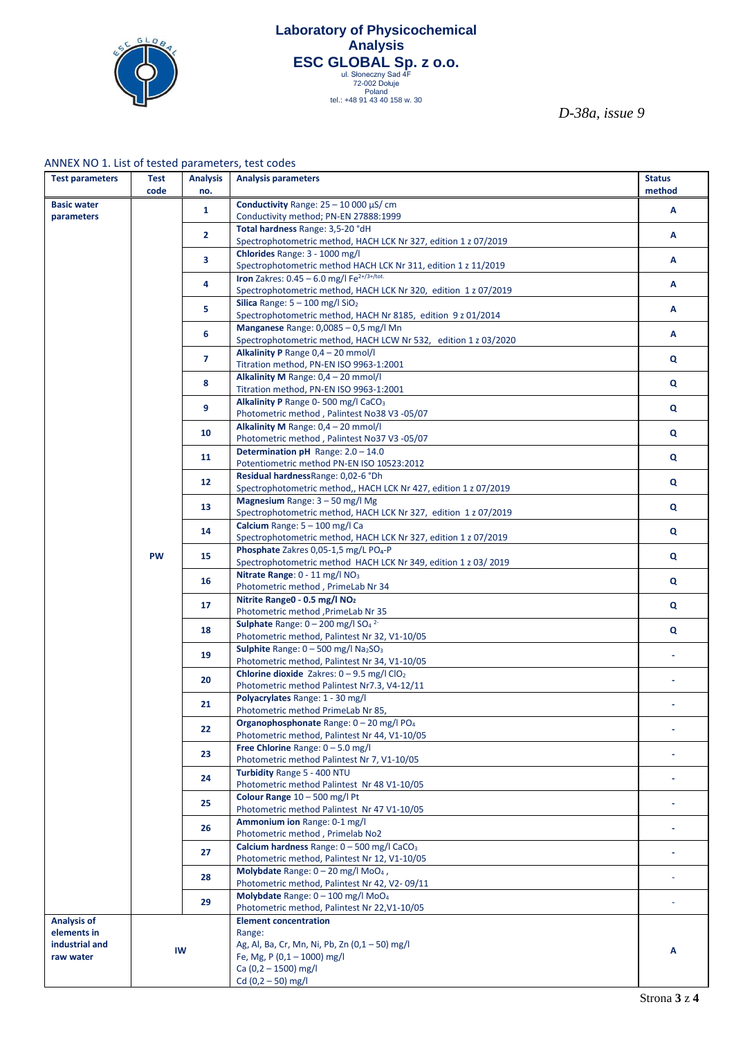

# **[Laboratory](https://pl.pons.com/tłumaczenie/angielski-polski/Laboratory) [of](https://pl.pons.com/tłumaczenie/angielski-polski/of) [Physicochemical](https://pl.pons.com/tłumaczenie/angielski-polski/Physicochemical) [Analysis](https://pl.pons.com/tłumaczenie/angielski-polski/Analysis) ESC GLOBAL Sp. z 0.0.**<br>
ul. Słoneczny Sad 4F<br>
<sup>72-002 Dołuje</sup><br>
Poland<br>
<sup>Poland</sup> 43 40 158 w. 30

*D-38a, issue 9*

|  |  | ANNEX NO 1. List of tested parameters, test codes |  |
|--|--|---------------------------------------------------|--|
|--|--|---------------------------------------------------|--|

| <b>Test parameters</b>           | <b>Test</b><br>code | <b>Analysis</b><br>no. | <b>Analysis parameters</b>                                                                                  | <b>Status</b><br>method |
|----------------------------------|---------------------|------------------------|-------------------------------------------------------------------------------------------------------------|-------------------------|
|                                  |                     |                        |                                                                                                             |                         |
| <b>Basic water</b><br>parameters |                     | $\mathbf{1}$           | Conductivity Range: $25 - 10000 \mu$ S/ cm<br>Conductivity method; PN-EN 27888:1999                         | А                       |
|                                  |                     |                        | Total hardness Range: 3,5-20 °dH                                                                            |                         |
|                                  |                     | $\overline{2}$         | Spectrophotometric method, HACH LCK Nr 327, edition 1 z 07/2019                                             | А                       |
|                                  |                     |                        | Chlorides Range: 3 - 1000 mg/l                                                                              |                         |
|                                  |                     | 3                      | Spectrophotometric method HACH LCK Nr 311, edition 1 z 11/2019                                              | А                       |
|                                  |                     | 4                      | Iron Zakres: $0.45 - 6.0$ mg/l Fe <sup>2+/3+/tot.</sup>                                                     | Α                       |
|                                  |                     |                        | Spectrophotometric method, HACH LCK Nr 320, edition 1 z 07/2019                                             |                         |
|                                  |                     | 5                      | Silica Range: $5 - 100$ mg/l $SiO2$                                                                         | A                       |
|                                  |                     |                        | Spectrophotometric method, HACH Nr 8185, edition 9 z 01/2014<br>Manganese Range: 0,0085 - 0,5 mg/l Mn       |                         |
|                                  |                     | 6                      | Spectrophotometric method, HACH LCW Nr 532, edition 1 z 03/2020                                             | A                       |
|                                  |                     |                        | Alkalinity P Range 0,4 - 20 mmol/l                                                                          |                         |
|                                  |                     | $\overline{7}$         | Titration method, PN-EN ISO 9963-1:2001                                                                     | Q                       |
|                                  |                     | 8                      | Alkalinity M Range: 0,4 - 20 mmol/l                                                                         | $\mathbf{Q}$            |
|                                  |                     |                        | Titration method, PN-EN ISO 9963-1:2001                                                                     |                         |
|                                  |                     | 9                      | Alkalinity P Range 0-500 mg/l CaCO <sub>3</sub><br>Photometric method, Palintest No38 V3-05/07              | Q                       |
|                                  |                     |                        | Alkalinity M Range: $0,4 - 20$ mmol/l                                                                       |                         |
|                                  |                     | 10                     | Photometric method, Palintest No37 V3-05/07                                                                 | Q                       |
|                                  |                     |                        | Determination pH Range: 2.0 - 14.0                                                                          |                         |
|                                  |                     | 11                     | Potentiometric method PN-EN ISO 10523:2012                                                                  | Q                       |
|                                  |                     | 12                     | Residual hardness Range: 0,02-6 °Dh                                                                         | Q                       |
|                                  |                     |                        | Spectrophotometric method,, HACH LCK Nr 427, edition 1 z 07/2019                                            |                         |
|                                  |                     | 13                     | <b>Magnesium</b> Range: $3 - 50$ mg/l Mg<br>Spectrophotometric method, HACH LCK Nr 327, edition 1 z 07/2019 | Q                       |
|                                  |                     |                        | Calcium Range: 5 - 100 mg/l Ca                                                                              |                         |
|                                  |                     | 14                     | Spectrophotometric method, HACH LCK Nr 327, edition 1 z 07/2019                                             | Q                       |
|                                  | <b>PW</b>           | 15                     | Phosphate Zakres 0,05-1,5 mg/L PO <sub>4</sub> -P                                                           | Q                       |
|                                  |                     |                        | Spectrophotometric method HACH LCK Nr 349, edition 1 z 03/2019                                              |                         |
|                                  |                     | 16                     | Nitrate Range: $0 - 11$ mg/l NO <sub>3</sub><br>Photometric method, PrimeLab Nr 34                          | Q                       |
|                                  |                     |                        | Nitrite Range0 - 0.5 mg/l NO <sub>2</sub>                                                                   |                         |
|                                  |                     | 17                     | Photometric method, PrimeLab Nr 35                                                                          | Q                       |
|                                  |                     | 18                     | Sulphate Range: $0 - 200$ mg/l SO <sub>4</sub> <sup>2-</sup>                                                | Q                       |
|                                  |                     |                        | Photometric method, Palintest Nr 32, V1-10/05                                                               |                         |
|                                  |                     | 19                     | <b>Sulphite</b> Range: $0 - 500$ mg/l Na <sub>2</sub> SO <sub>3</sub>                                       | ÷.                      |
|                                  |                     |                        | Photometric method, Palintest Nr 34, V1-10/05<br>Chlorine dioxide Zakres: $0 - 9.5$ mg/l ClO <sub>2</sub>   |                         |
|                                  |                     | 20                     | Photometric method Palintest Nr7.3, V4-12/11                                                                |                         |
|                                  |                     |                        | Polyacrylates Range: 1 - 30 mg/l                                                                            |                         |
|                                  |                     | 21                     | Photometric method PrimeLab Nr 85,                                                                          |                         |
|                                  |                     | 22                     | Organophosphonate Range: 0 - 20 mg/l PO <sub>4</sub>                                                        | ä,                      |
|                                  |                     |                        | Photometric method, Palintest Nr 44, V1-10/05<br>Free Chlorine Range: $0 - 5.0$ mg/l                        |                         |
|                                  |                     | 23                     | Photometric method Palintest Nr 7, V1-10/05                                                                 |                         |
|                                  |                     |                        | Turbidity Range 5 - 400 NTU                                                                                 |                         |
|                                  |                     | 24                     | Photometric method Palintest Nr 48 V1-10/05                                                                 |                         |
|                                  |                     | 25                     | Colour Range 10 - 500 mg/l Pt                                                                               |                         |
|                                  |                     |                        | Photometric method Palintest Nr 47 V1-10/05<br>Ammonium ion Range: 0-1 mg/l                                 |                         |
|                                  |                     | 26                     | Photometric method, Primelab No2                                                                            |                         |
|                                  |                     |                        | Calcium hardness Range: 0 - 500 mg/l CaCO <sub>3</sub>                                                      |                         |
|                                  |                     | 27                     | Photometric method, Palintest Nr 12, V1-10/05                                                               |                         |
|                                  |                     | 28                     | Molybdate Range: 0 - 20 mg/l MoO <sub>4</sub> ,                                                             |                         |
|                                  |                     |                        | Photometric method, Palintest Nr 42, V2-09/11<br>Molybdate Range: 0 - 100 mg/l MoO <sub>4</sub>             |                         |
|                                  |                     | 29                     | Photometric method, Palintest Nr 22, V1-10/05                                                               | ä,                      |
| <b>Analysis of</b>               |                     |                        | <b>Element concentration</b>                                                                                |                         |
| elements in                      |                     |                        | Range:                                                                                                      |                         |
| industrial and                   | IW                  |                        | Ag, Al, Ba, Cr, Mn, Ni, Pb, Zn (0,1 - 50) mg/l                                                              | Α                       |
| raw water                        |                     |                        | Fe, Mg, P $(0,1 - 1000)$ mg/l<br>Ca $(0, 2 - 1500)$ mg/l                                                    |                         |
|                                  |                     |                        | Cd $(0,2 - 50)$ mg/l                                                                                        |                         |